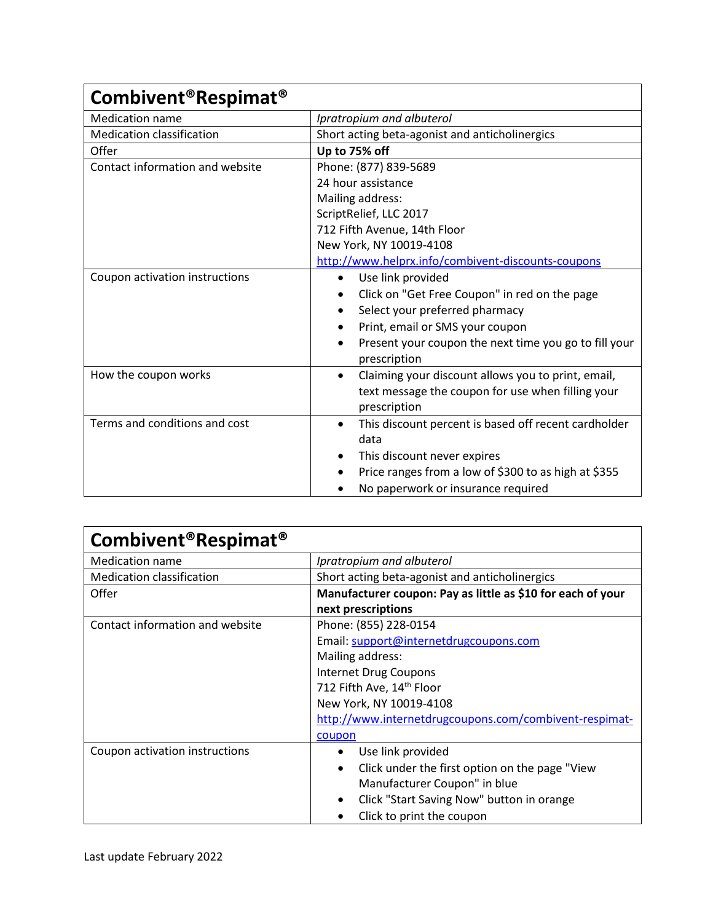| Combivent <sup>®</sup> Respimat <sup>®</sup> |                                                                    |
|----------------------------------------------|--------------------------------------------------------------------|
| <b>Medication name</b>                       | Ipratropium and albuterol                                          |
| <b>Medication classification</b>             | Short acting beta-agonist and anticholinergics                     |
| Offer                                        | Up to 75% off                                                      |
| Contact information and website              | Phone: (877) 839-5689                                              |
|                                              | 24 hour assistance                                                 |
|                                              | Mailing address:                                                   |
|                                              | ScriptRelief, LLC 2017                                             |
|                                              | 712 Fifth Avenue, 14th Floor                                       |
|                                              | New York, NY 10019-4108                                            |
|                                              | http://www.helprx.info/combivent-discounts-coupons                 |
| Coupon activation instructions               | Use link provided<br>$\bullet$                                     |
|                                              | Click on "Get Free Coupon" in red on the page<br>$\bullet$         |
|                                              | Select your preferred pharmacy<br>$\bullet$                        |
|                                              | Print, email or SMS your coupon                                    |
|                                              | Present your coupon the next time you go to fill your<br>$\bullet$ |
|                                              | prescription                                                       |
| How the coupon works                         | Claiming your discount allows you to print, email,<br>$\bullet$    |
|                                              | text message the coupon for use when filling your                  |
|                                              | prescription                                                       |
| Terms and conditions and cost                | This discount percent is based off recent cardholder<br>$\bullet$  |
|                                              | data                                                               |
|                                              | This discount never expires<br>$\bullet$                           |
|                                              | Price ranges from a low of \$300 to as high at \$355<br>$\bullet$  |
|                                              | No paperwork or insurance required                                 |

| Combivent <sup>®</sup> Respimat <sup>®</sup> |                                                             |
|----------------------------------------------|-------------------------------------------------------------|
| <b>Medication name</b>                       | Ipratropium and albuterol                                   |
| <b>Medication classification</b>             | Short acting beta-agonist and anticholinergics              |
| Offer                                        | Manufacturer coupon: Pay as little as \$10 for each of your |
|                                              | next prescriptions                                          |
| Contact information and website              | Phone: (855) 228-0154                                       |
|                                              | Email: support@internetdrugcoupons.com                      |
|                                              | Mailing address:                                            |
|                                              | <b>Internet Drug Coupons</b>                                |
|                                              | 712 Fifth Ave, 14th Floor                                   |
|                                              | New York, NY 10019-4108                                     |
|                                              | http://www.internetdrugcoupons.com/combivent-respimat-      |
|                                              | coupon                                                      |
| Coupon activation instructions               | Use link provided<br>$\bullet$                              |
|                                              | Click under the first option on the page "View<br>$\bullet$ |
|                                              | Manufacturer Coupon" in blue                                |
|                                              | Click "Start Saving Now" button in orange                   |
|                                              | Click to print the coupon                                   |